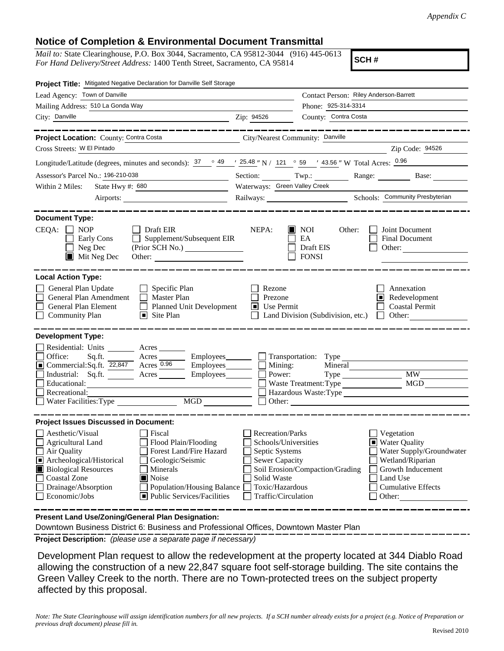## **Notice of Completion & Environmental Document Transmittal**

*Mail to:* State Clearinghouse, P.O. Box 3044, Sacramento, CA 95812-3044 (916) 445-0613 *For Hand Delivery/Street Address:* 1400 Tenth Street, Sacramento, CA 95814

**SCH #**

| Project Title: Mitigated Negative Declaration for Danville Self Storage                                                                                                                                                                                                                                                                                                                                                |                                                                                                                                              |                                                                 |                                                                                                                                                     |  |
|------------------------------------------------------------------------------------------------------------------------------------------------------------------------------------------------------------------------------------------------------------------------------------------------------------------------------------------------------------------------------------------------------------------------|----------------------------------------------------------------------------------------------------------------------------------------------|-----------------------------------------------------------------|-----------------------------------------------------------------------------------------------------------------------------------------------------|--|
| Lead Agency: Town of Danville                                                                                                                                                                                                                                                                                                                                                                                          | Contact Person: Riley Anderson-Barrett                                                                                                       |                                                                 |                                                                                                                                                     |  |
| Mailing Address: 510 La Gonda Way                                                                                                                                                                                                                                                                                                                                                                                      |                                                                                                                                              | Phone: 925-314-3314                                             |                                                                                                                                                     |  |
| City: Danville                                                                                                                                                                                                                                                                                                                                                                                                         | Zip: 94526                                                                                                                                   | County: Contra Costa                                            |                                                                                                                                                     |  |
|                                                                                                                                                                                                                                                                                                                                                                                                                        |                                                                                                                                              |                                                                 |                                                                                                                                                     |  |
| Project Location: County: Contra Costa<br>City/Nearest Community: Danville                                                                                                                                                                                                                                                                                                                                             |                                                                                                                                              |                                                                 |                                                                                                                                                     |  |
| Cross Streets: W El Pintado                                                                                                                                                                                                                                                                                                                                                                                            |                                                                                                                                              |                                                                 | Zip Code: 94526                                                                                                                                     |  |
| Longitude/Latitude (degrees, minutes and seconds): $\frac{37}{25}$ $\frac{49}{25.48}$ " N / 121 $\degree$ 59 / 43.56 " W Total Acres: $\frac{0.96}{25.48}$                                                                                                                                                                                                                                                             |                                                                                                                                              |                                                                 |                                                                                                                                                     |  |
| Assessor's Parcel No.: 196-210-038<br>the control of the control of the con-                                                                                                                                                                                                                                                                                                                                           |                                                                                                                                              |                                                                 | Section: Twp.: Range: Base:                                                                                                                         |  |
| State Hwy #: 680<br>Within 2 Miles:<br><u> 1990 - John Barn Barn, amerikansk politiker</u>                                                                                                                                                                                                                                                                                                                             | Waterways: Green Valley Creek                                                                                                                |                                                                 |                                                                                                                                                     |  |
|                                                                                                                                                                                                                                                                                                                                                                                                                        | Railways: Schools: Community Presbyterian                                                                                                    |                                                                 |                                                                                                                                                     |  |
| <b>Document Type:</b><br>$CEQA: \Box NP$<br>$\Box$ Draft EIR<br>$\Box$ Supplement/Subsequent EIR<br>Early Cons<br>Neg Dec<br>$\blacksquare$ Mit Neg Dec<br>Other:                                                                                                                                                                                                                                                      | NEPA:                                                                                                                                        | $\blacksquare$ NOI<br>Other:<br>EA<br>Draft EIS<br><b>FONSI</b> | Joint Document<br><b>Final Document</b><br>Other:                                                                                                   |  |
| <b>Local Action Type:</b><br>General Plan Update<br>$\Box$ Specific Plan<br>General Plan Amendment<br>$\Box$ Master Plan<br>General Plan Element<br>$\Box$<br>Planned Unit Development<br>□<br><b>Community Plan</b><br>$\Box$ Site Plan                                                                                                                                                                               | Rezone<br>Prezone<br>$\blacksquare$ Use Permit                                                                                               | Land Division (Subdivision, etc.)                               | Annexation<br>Redevelopment<br><b>Coastal Permit</b><br>Other: $\qquad \qquad$                                                                      |  |
| <b>Development Type:</b><br>Residential: Units ________ Acres _______<br>Office:<br>Acres Employees Transportation: Type<br>Sq.ft.<br>Commercial: Sq.ft. $\overline{22,847}$ Acres 0.96<br>$\Box$ Employees $\Box$<br>Industrial: Sq.ft. Acres Employees<br>Educational:<br>Recreational:<br>MGD<br>Water Facilities: Type                                                                                             | Mining:<br>Power:                                                                                                                            | Mineral<br>Waste Treatment: Type                                | <b>MW</b><br>MGD<br>Hazardous Waste:Type                                                                                                            |  |
| <b>Project Issues Discussed in Document:</b><br>Aesthetic/Visual<br>Fiscal<br>Flood Plain/Flooding<br>Agricultural Land<br>Forest Land/Fire Hazard<br>Air Quality<br>Archeological/Historical<br>Ŀ<br>Geologic/Seismic<br><b>Biological Resources</b><br>Minerals<br><b>Coastal Zone</b><br>$\blacksquare$ Noise<br>Drainage/Absorption<br>Population/Housing Balance<br>Economic/Jobs<br>■ Public Services/Facilities | <b>Recreation/Parks</b><br>Schools/Universities<br>Septic Systems<br>Sewer Capacity<br>Solid Waste<br>Toxic/Hazardous<br>Traffic/Circulation | Soil Erosion/Compaction/Grading                                 | Vegetation<br>Water Quality<br>Water Supply/Groundwater<br>Wetland/Riparian<br>Growth Inducement<br>Land Use<br><b>Cumulative Effects</b><br>Other: |  |
| Present Land Use/Zoning/General Plan Designation:                                                                                                                                                                                                                                                                                                                                                                      |                                                                                                                                              |                                                                 |                                                                                                                                                     |  |

Downtown Business District 6: Business and Professional Offices, Downtown Master Plan

**Project Description:** *(please use a separate page if necessary)*

 Development Plan request to allow the redevelopment at the property located at 344 Diablo Road allowing the construction of a new 22,847 square foot self-storage building. The site contains the Green Valley Creek to the north. There are no Town-protected trees on the subject property affected by this proposal.

*Note: The State Clearinghouse will assign identification numbers for all new projects. If a SCH number already exists for a project (e.g. Notice of Preparation or previous draft document) please fill in.*